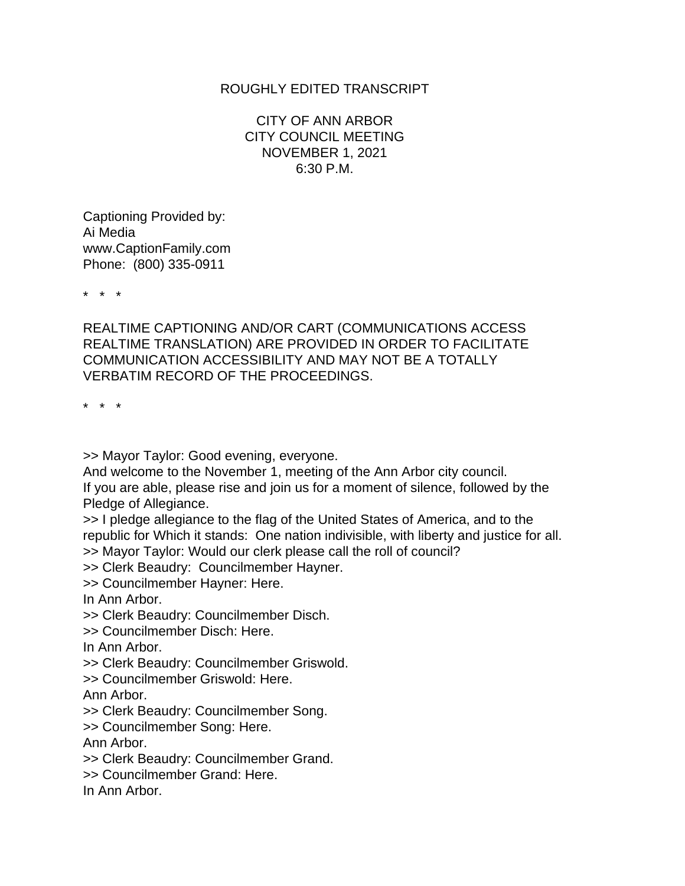## ROUGHLY EDITED TRANSCRIPT

CITY OF ANN ARBOR CITY COUNCIL MEETING NOVEMBER 1, 2021 6:30 P.M.

Captioning Provided by: Ai Media www.CaptionFamily.com Phone: (800) 335-0911

\* \* \*

REALTIME CAPTIONING AND/OR CART (COMMUNICATIONS ACCESS REALTIME TRANSLATION) ARE PROVIDED IN ORDER TO FACILITATE COMMUNICATION ACCESSIBILITY AND MAY NOT BE A TOTALLY VERBATIM RECORD OF THE PROCEEDINGS.

\* \* \*

>> Mayor Taylor: Good evening, everyone.

And welcome to the November 1, meeting of the Ann Arbor city council. If you are able, please rise and join us for a moment of silence, followed by the Pledge of Allegiance.

>> I pledge allegiance to the flag of the United States of America, and to the republic for Which it stands: One nation indivisible, with liberty and justice for all. >> Mayor Taylor: Would our clerk please call the roll of council?

>> Clerk Beaudry: Councilmember Hayner.

>> Councilmember Hayner: Here.

In Ann Arbor.

>> Clerk Beaudry: Councilmember Disch.

>> Councilmember Disch: Here.

In Ann Arbor.

>> Clerk Beaudry: Councilmember Griswold.

>> Councilmember Griswold: Here.

Ann Arbor.

>> Clerk Beaudry: Councilmember Song.

>> Councilmember Song: Here.

Ann Arbor.

>> Clerk Beaudry: Councilmember Grand.

>> Councilmember Grand: Here.

In Ann Arbor.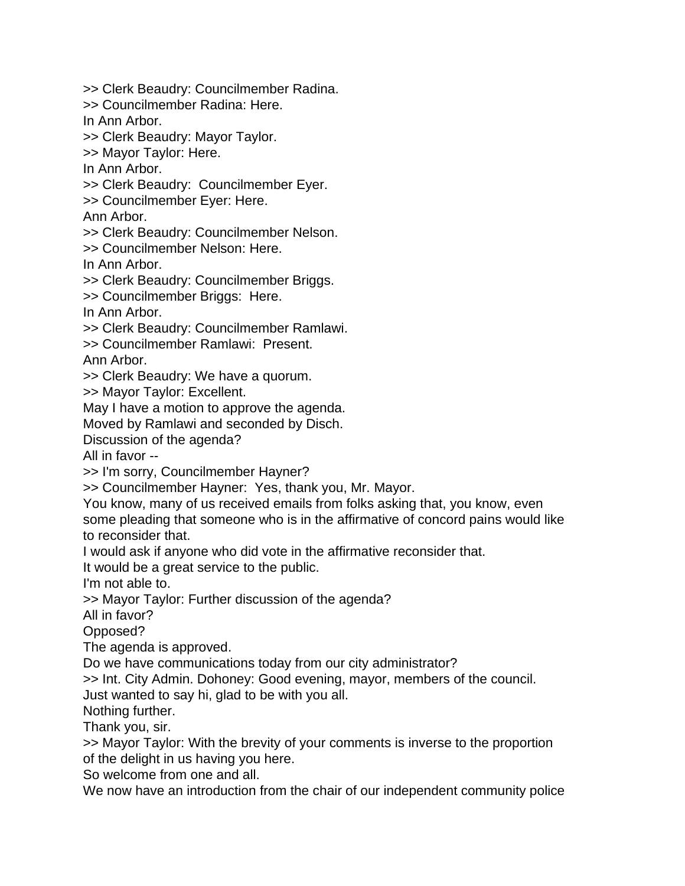>> Clerk Beaudry: Councilmember Radina. >> Councilmember Radina: Here. In Ann Arbor. >> Clerk Beaudry: Mayor Taylor. >> Mayor Taylor: Here. In Ann Arbor. >> Clerk Beaudry: Councilmember Eyer. >> Councilmember Eyer: Here. Ann Arbor. >> Clerk Beaudry: Councilmember Nelson. >> Councilmember Nelson: Here. In Ann Arbor. >> Clerk Beaudry: Councilmember Briggs. >> Councilmember Briggs: Here. In Ann Arbor. >> Clerk Beaudry: Councilmember Ramlawi. >> Councilmember Ramlawi: Present. Ann Arbor. >> Clerk Beaudry: We have a quorum. >> Mayor Taylor: Excellent. May I have a motion to approve the agenda. Moved by Ramlawi and seconded by Disch. Discussion of the agenda? All in favor -- >> I'm sorry, Councilmember Hayner? >> Councilmember Hayner: Yes, thank you, Mr. Mayor. You know, many of us received emails from folks asking that, you know, even some pleading that someone who is in the affirmative of concord pains would like to reconsider that. I would ask if anyone who did vote in the affirmative reconsider that. It would be a great service to the public. I'm not able to. >> Mayor Taylor: Further discussion of the agenda? All in favor? Opposed? The agenda is approved. Do we have communications today from our city administrator? >> Int. City Admin. Dohoney: Good evening, mayor, members of the council. Just wanted to say hi, glad to be with you all. Nothing further. Thank you, sir. >> Mayor Taylor: With the brevity of your comments is inverse to the proportion of the delight in us having you here. So welcome from one and all. We now have an introduction from the chair of our independent community police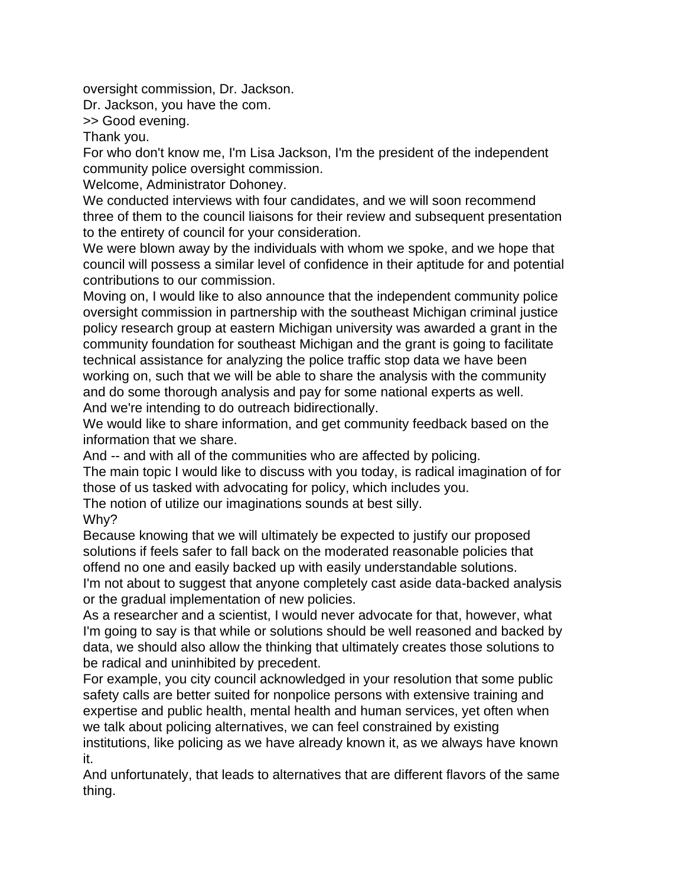oversight commission, Dr. Jackson.

Dr. Jackson, you have the com.

>> Good evening.

Thank you.

For who don't know me, I'm Lisa Jackson, I'm the president of the independent community police oversight commission.

Welcome, Administrator Dohoney.

We conducted interviews with four candidates, and we will soon recommend three of them to the council liaisons for their review and subsequent presentation to the entirety of council for your consideration.

We were blown away by the individuals with whom we spoke, and we hope that council will possess a similar level of confidence in their aptitude for and potential contributions to our commission.

Moving on, I would like to also announce that the independent community police oversight commission in partnership with the southeast Michigan criminal justice policy research group at eastern Michigan university was awarded a grant in the community foundation for southeast Michigan and the grant is going to facilitate technical assistance for analyzing the police traffic stop data we have been working on, such that we will be able to share the analysis with the community and do some thorough analysis and pay for some national experts as well. And we're intending to do outreach bidirectionally.

We would like to share information, and get community feedback based on the information that we share.

And -- and with all of the communities who are affected by policing.

The main topic I would like to discuss with you today, is radical imagination of for those of us tasked with advocating for policy, which includes you.

The notion of utilize our imaginations sounds at best silly.

Why?

Because knowing that we will ultimately be expected to justify our proposed solutions if feels safer to fall back on the moderated reasonable policies that offend no one and easily backed up with easily understandable solutions. I'm not about to suggest that anyone completely cast aside data-backed analysis or the gradual implementation of new policies.

As a researcher and a scientist, I would never advocate for that, however, what I'm going to say is that while or solutions should be well reasoned and backed by data, we should also allow the thinking that ultimately creates those solutions to be radical and uninhibited by precedent.

For example, you city council acknowledged in your resolution that some public safety calls are better suited for nonpolice persons with extensive training and expertise and public health, mental health and human services, yet often when we talk about policing alternatives, we can feel constrained by existing institutions, like policing as we have already known it, as we always have known it.

And unfortunately, that leads to alternatives that are different flavors of the same thing.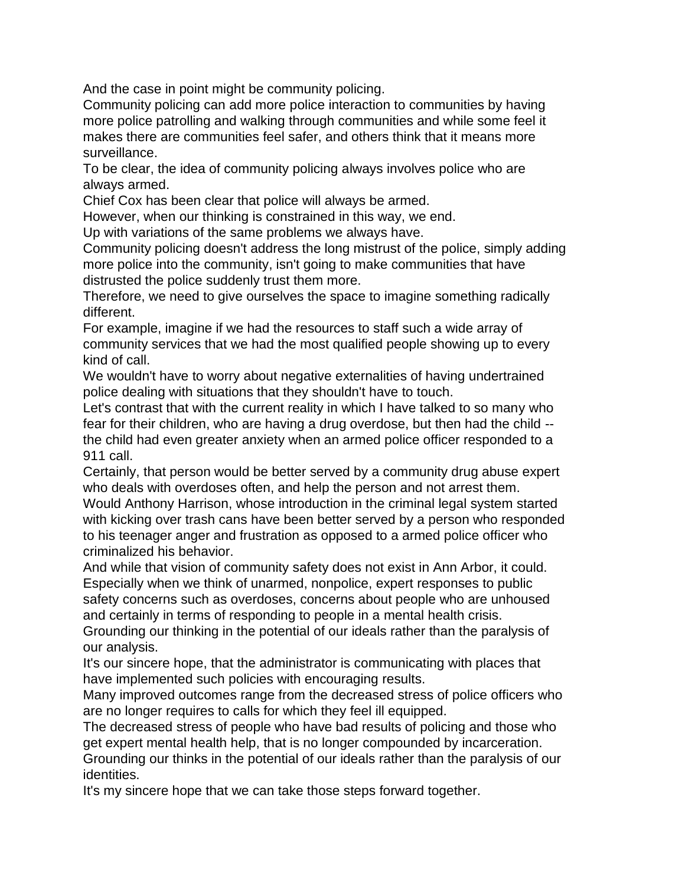And the case in point might be community policing.

Community policing can add more police interaction to communities by having more police patrolling and walking through communities and while some feel it makes there are communities feel safer, and others think that it means more surveillance.

To be clear, the idea of community policing always involves police who are always armed.

Chief Cox has been clear that police will always be armed.

However, when our thinking is constrained in this way, we end.

Up with variations of the same problems we always have.

Community policing doesn't address the long mistrust of the police, simply adding more police into the community, isn't going to make communities that have distrusted the police suddenly trust them more.

Therefore, we need to give ourselves the space to imagine something radically different.

For example, imagine if we had the resources to staff such a wide array of community services that we had the most qualified people showing up to every kind of call.

We wouldn't have to worry about negative externalities of having undertrained police dealing with situations that they shouldn't have to touch.

Let's contrast that with the current reality in which I have talked to so many who fear for their children, who are having a drug overdose, but then had the child - the child had even greater anxiety when an armed police officer responded to a 911 call.

Certainly, that person would be better served by a community drug abuse expert who deals with overdoses often, and help the person and not arrest them.

Would Anthony Harrison, whose introduction in the criminal legal system started with kicking over trash cans have been better served by a person who responded to his teenager anger and frustration as opposed to a armed police officer who criminalized his behavior.

And while that vision of community safety does not exist in Ann Arbor, it could. Especially when we think of unarmed, nonpolice, expert responses to public safety concerns such as overdoses, concerns about people who are unhoused and certainly in terms of responding to people in a mental health crisis.

Grounding our thinking in the potential of our ideals rather than the paralysis of our analysis.

It's our sincere hope, that the administrator is communicating with places that have implemented such policies with encouraging results.

Many improved outcomes range from the decreased stress of police officers who are no longer requires to calls for which they feel ill equipped.

The decreased stress of people who have bad results of policing and those who get expert mental health help, that is no longer compounded by incarceration. Grounding our thinks in the potential of our ideals rather than the paralysis of our identities.

It's my sincere hope that we can take those steps forward together.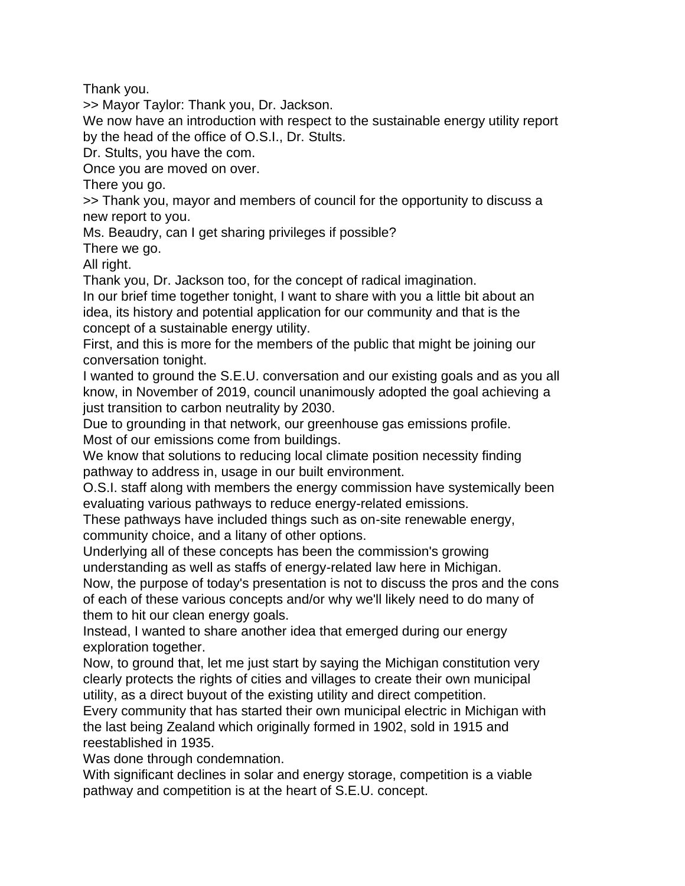Thank you.

>> Mayor Taylor: Thank you, Dr. Jackson.

We now have an introduction with respect to the sustainable energy utility report by the head of the office of O.S.I., Dr. Stults.

Dr. Stults, you have the com.

Once you are moved on over.

There you go.

>> Thank you, mayor and members of council for the opportunity to discuss a new report to you.

Ms. Beaudry, can I get sharing privileges if possible?

There we go.

All right.

Thank you, Dr. Jackson too, for the concept of radical imagination.

In our brief time together tonight, I want to share with you a little bit about an idea, its history and potential application for our community and that is the concept of a sustainable energy utility.

First, and this is more for the members of the public that might be joining our conversation tonight.

I wanted to ground the S.E.U. conversation and our existing goals and as you all know, in November of 2019, council unanimously adopted the goal achieving a just transition to carbon neutrality by 2030.

Due to grounding in that network, our greenhouse gas emissions profile. Most of our emissions come from buildings.

We know that solutions to reducing local climate position necessity finding pathway to address in, usage in our built environment.

O.S.I. staff along with members the energy commission have systemically been evaluating various pathways to reduce energy-related emissions.

These pathways have included things such as on-site renewable energy, community choice, and a litany of other options.

Underlying all of these concepts has been the commission's growing understanding as well as staffs of energy-related law here in Michigan.

Now, the purpose of today's presentation is not to discuss the pros and the cons of each of these various concepts and/or why we'll likely need to do many of them to hit our clean energy goals.

Instead, I wanted to share another idea that emerged during our energy exploration together.

Now, to ground that, let me just start by saying the Michigan constitution very clearly protects the rights of cities and villages to create their own municipal utility, as a direct buyout of the existing utility and direct competition.

Every community that has started their own municipal electric in Michigan with the last being Zealand which originally formed in 1902, sold in 1915 and reestablished in 1935.

Was done through condemnation.

With significant declines in solar and energy storage, competition is a viable pathway and competition is at the heart of S.E.U. concept.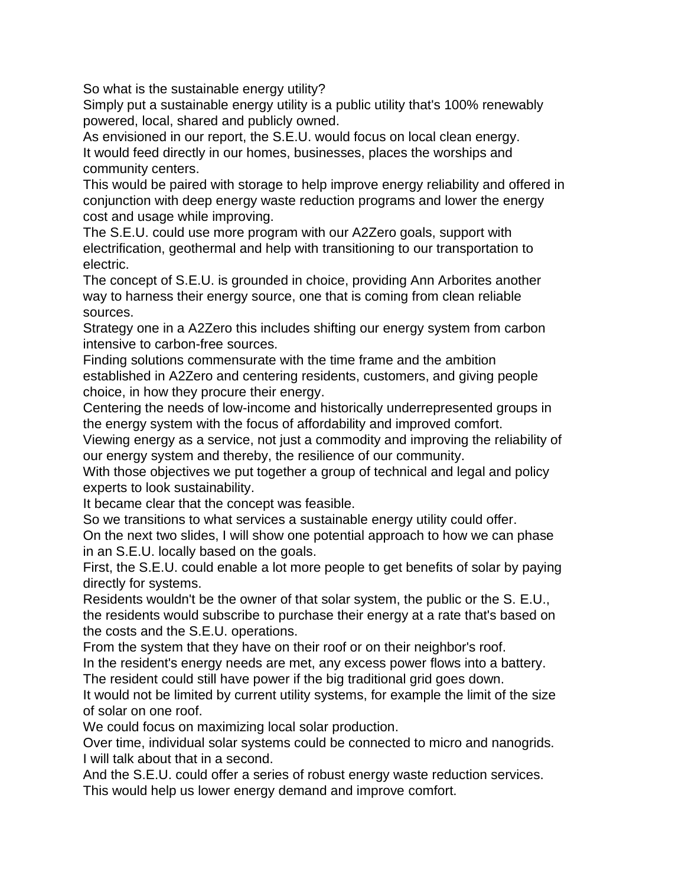So what is the sustainable energy utility?

Simply put a sustainable energy utility is a public utility that's 100% renewably powered, local, shared and publicly owned.

As envisioned in our report, the S.E.U. would focus on local clean energy. It would feed directly in our homes, businesses, places the worships and community centers.

This would be paired with storage to help improve energy reliability and offered in conjunction with deep energy waste reduction programs and lower the energy cost and usage while improving.

The S.E.U. could use more program with our A2Zero goals, support with electrification, geothermal and help with transitioning to our transportation to electric.

The concept of S.E.U. is grounded in choice, providing Ann Arborites another way to harness their energy source, one that is coming from clean reliable sources.

Strategy one in a A2Zero this includes shifting our energy system from carbon intensive to carbon-free sources.

Finding solutions commensurate with the time frame and the ambition established in A2Zero and centering residents, customers, and giving people choice, in how they procure their energy.

Centering the needs of low-income and historically underrepresented groups in the energy system with the focus of affordability and improved comfort.

Viewing energy as a service, not just a commodity and improving the reliability of our energy system and thereby, the resilience of our community.

With those objectives we put together a group of technical and legal and policy experts to look sustainability.

It became clear that the concept was feasible.

So we transitions to what services a sustainable energy utility could offer.

On the next two slides, I will show one potential approach to how we can phase in an S.E.U. locally based on the goals.

First, the S.E.U. could enable a lot more people to get benefits of solar by paying directly for systems.

Residents wouldn't be the owner of that solar system, the public or the S. E.U., the residents would subscribe to purchase their energy at a rate that's based on the costs and the S.E.U. operations.

From the system that they have on their roof or on their neighbor's roof.

In the resident's energy needs are met, any excess power flows into a battery. The resident could still have power if the big traditional grid goes down.

It would not be limited by current utility systems, for example the limit of the size of solar on one roof.

We could focus on maximizing local solar production.

Over time, individual solar systems could be connected to micro and nanogrids. I will talk about that in a second.

And the S.E.U. could offer a series of robust energy waste reduction services. This would help us lower energy demand and improve comfort.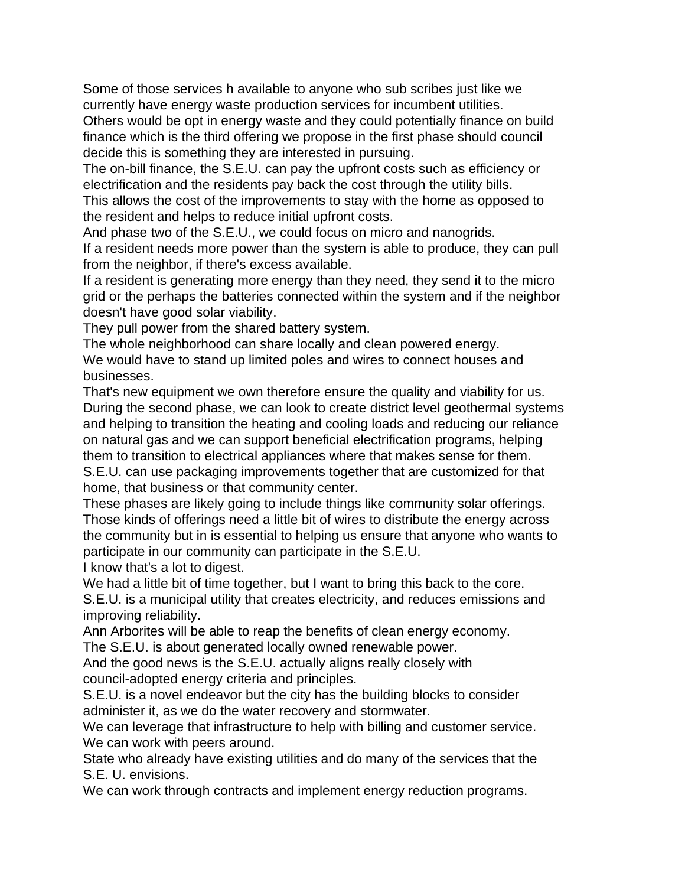Some of those services h available to anyone who sub scribes just like we currently have energy waste production services for incumbent utilities.

Others would be opt in energy waste and they could potentially finance on build finance which is the third offering we propose in the first phase should council decide this is something they are interested in pursuing.

The on-bill finance, the S.E.U. can pay the upfront costs such as efficiency or electrification and the residents pay back the cost through the utility bills.

This allows the cost of the improvements to stay with the home as opposed to the resident and helps to reduce initial upfront costs.

And phase two of the S.E.U., we could focus on micro and nanogrids.

If a resident needs more power than the system is able to produce, they can pull from the neighbor, if there's excess available.

If a resident is generating more energy than they need, they send it to the micro grid or the perhaps the batteries connected within the system and if the neighbor doesn't have good solar viability.

They pull power from the shared battery system.

The whole neighborhood can share locally and clean powered energy. We would have to stand up limited poles and wires to connect houses and businesses.

That's new equipment we own therefore ensure the quality and viability for us. During the second phase, we can look to create district level geothermal systems and helping to transition the heating and cooling loads and reducing our reliance on natural gas and we can support beneficial electrification programs, helping them to transition to electrical appliances where that makes sense for them. S.E.U. can use packaging improvements together that are customized for that home, that business or that community center.

These phases are likely going to include things like community solar offerings. Those kinds of offerings need a little bit of wires to distribute the energy across the community but in is essential to helping us ensure that anyone who wants to participate in our community can participate in the S.E.U.

I know that's a lot to digest.

We had a little bit of time together, but I want to bring this back to the core.

S.E.U. is a municipal utility that creates electricity, and reduces emissions and improving reliability.

Ann Arborites will be able to reap the benefits of clean energy economy.

The S.E.U. is about generated locally owned renewable power.

And the good news is the S.E.U. actually aligns really closely with council-adopted energy criteria and principles.

S.E.U. is a novel endeavor but the city has the building blocks to consider administer it, as we do the water recovery and stormwater.

We can leverage that infrastructure to help with billing and customer service. We can work with peers around.

State who already have existing utilities and do many of the services that the S.E. U. envisions.

We can work through contracts and implement energy reduction programs.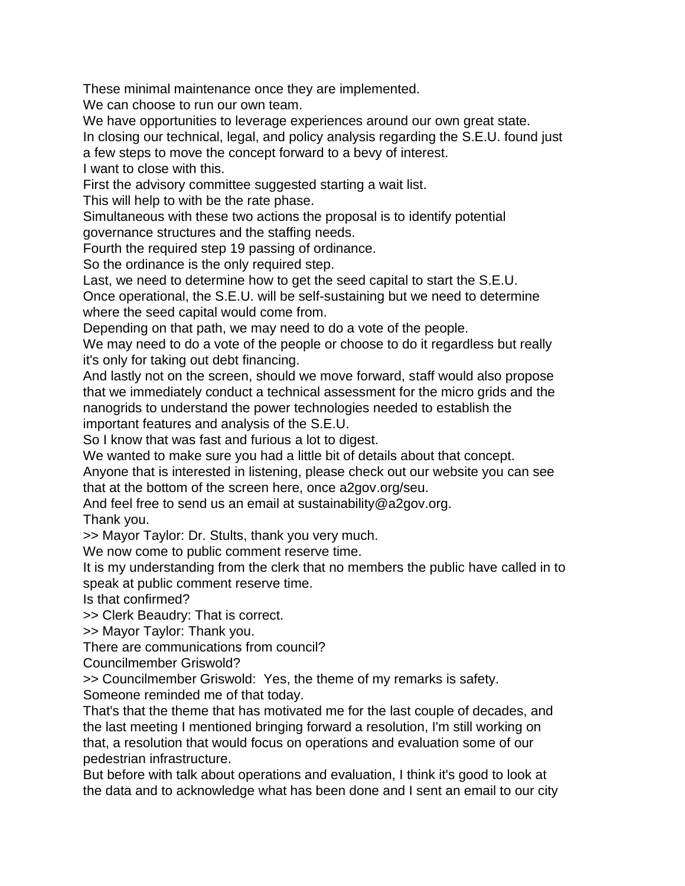These minimal maintenance once they are implemented.

We can choose to run our own team.

We have opportunities to leverage experiences around our own great state.

In closing our technical, legal, and policy analysis regarding the S.E.U. found just

a few steps to move the concept forward to a bevy of interest.

I want to close with this.

First the advisory committee suggested starting a wait list.

This will help to with be the rate phase.

Simultaneous with these two actions the proposal is to identify potential governance structures and the staffing needs.

Fourth the required step 19 passing of ordinance.

So the ordinance is the only required step.

Last, we need to determine how to get the seed capital to start the S.E.U.

Once operational, the S.E.U. will be self-sustaining but we need to determine where the seed capital would come from.

Depending on that path, we may need to do a vote of the people.

We may need to do a vote of the people or choose to do it regardless but really it's only for taking out debt financing.

And lastly not on the screen, should we move forward, staff would also propose that we immediately conduct a technical assessment for the micro grids and the nanogrids to understand the power technologies needed to establish the important features and analysis of the S.E.U.

So I know that was fast and furious a lot to digest.

We wanted to make sure you had a little bit of details about that concept.

Anyone that is interested in listening, please check out our website you can see that at the bottom of the screen here, once a2gov.org/seu.

And feel free to send us an email at sustainability@a2gov.org.

Thank you.

>> Mayor Taylor: Dr. Stults, thank you very much.

We now come to public comment reserve time.

It is my understanding from the clerk that no members the public have called in to speak at public comment reserve time.

Is that confirmed?

>> Clerk Beaudry: That is correct.

>> Mayor Taylor: Thank you.

There are communications from council?

Councilmember Griswold?

>> Councilmember Griswold: Yes, the theme of my remarks is safety. Someone reminded me of that today.

That's that the theme that has motivated me for the last couple of decades, and the last meeting I mentioned bringing forward a resolution, I'm still working on that, a resolution that would focus on operations and evaluation some of our pedestrian infrastructure.

But before with talk about operations and evaluation, I think it's good to look at the data and to acknowledge what has been done and I sent an email to our city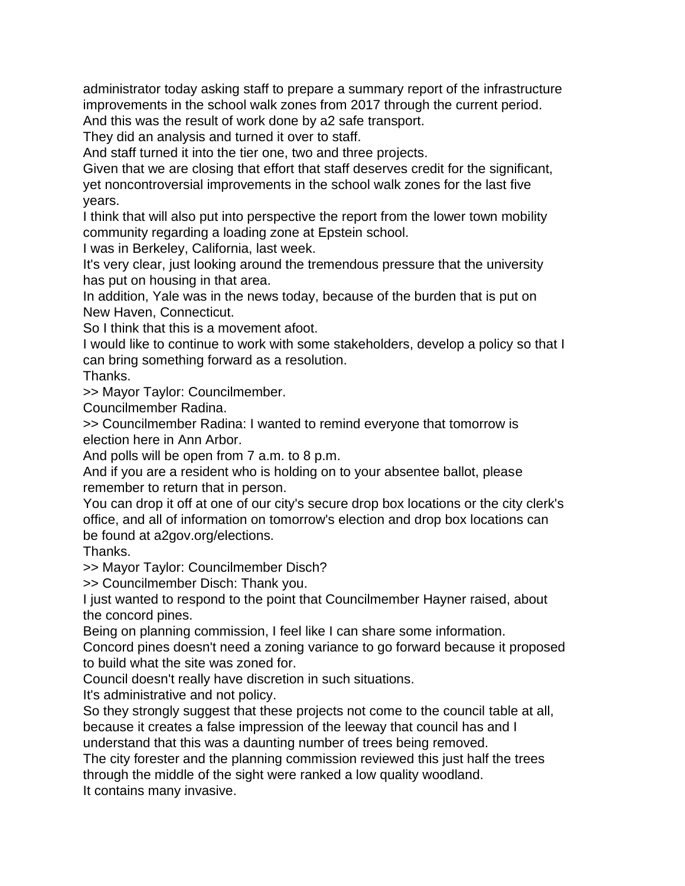administrator today asking staff to prepare a summary report of the infrastructure improvements in the school walk zones from 2017 through the current period. And this was the result of work done by a2 safe transport.

They did an analysis and turned it over to staff.

And staff turned it into the tier one, two and three projects.

Given that we are closing that effort that staff deserves credit for the significant, yet noncontroversial improvements in the school walk zones for the last five years.

I think that will also put into perspective the report from the lower town mobility community regarding a loading zone at Epstein school.

I was in Berkeley, California, last week.

It's very clear, just looking around the tremendous pressure that the university has put on housing in that area.

In addition, Yale was in the news today, because of the burden that is put on New Haven, Connecticut.

So I think that this is a movement afoot.

I would like to continue to work with some stakeholders, develop a policy so that I can bring something forward as a resolution.

Thanks.

>> Mayor Taylor: Councilmember.

Councilmember Radina.

>> Councilmember Radina: I wanted to remind everyone that tomorrow is election here in Ann Arbor.

And polls will be open from 7 a.m. to 8 p.m.

And if you are a resident who is holding on to your absentee ballot, please remember to return that in person.

You can drop it off at one of our city's secure drop box locations or the city clerk's office, and all of information on tomorrow's election and drop box locations can be found at a2gov.org/elections.

Thanks.

>> Mayor Taylor: Councilmember Disch?

>> Councilmember Disch: Thank you.

I just wanted to respond to the point that Councilmember Hayner raised, about the concord pines.

Being on planning commission, I feel like I can share some information.

Concord pines doesn't need a zoning variance to go forward because it proposed to build what the site was zoned for.

Council doesn't really have discretion in such situations.

It's administrative and not policy.

So they strongly suggest that these projects not come to the council table at all, because it creates a false impression of the leeway that council has and I

understand that this was a daunting number of trees being removed.

The city forester and the planning commission reviewed this just half the trees through the middle of the sight were ranked a low quality woodland. It contains many invasive.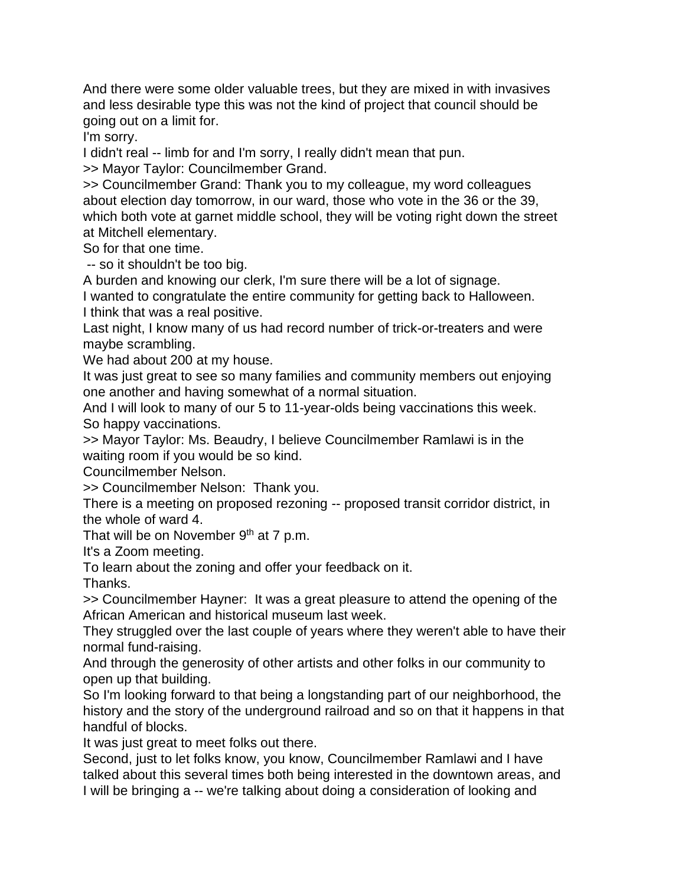And there were some older valuable trees, but they are mixed in with invasives and less desirable type this was not the kind of project that council should be going out on a limit for.

I'm sorry.

I didn't real -- limb for and I'm sorry, I really didn't mean that pun.

>> Mayor Taylor: Councilmember Grand.

>> Councilmember Grand: Thank you to my colleague, my word colleagues about election day tomorrow, in our ward, those who vote in the 36 or the 39, which both vote at garnet middle school, they will be voting right down the street at Mitchell elementary.

So for that one time.

-- so it shouldn't be too big.

A burden and knowing our clerk, I'm sure there will be a lot of signage.

I wanted to congratulate the entire community for getting back to Halloween. I think that was a real positive.

Last night, I know many of us had record number of trick-or-treaters and were maybe scrambling.

We had about 200 at my house.

It was just great to see so many families and community members out enjoying one another and having somewhat of a normal situation.

And I will look to many of our 5 to 11-year-olds being vaccinations this week. So happy vaccinations.

>> Mayor Taylor: Ms. Beaudry, I believe Councilmember Ramlawi is in the waiting room if you would be so kind.

Councilmember Nelson.

>> Councilmember Nelson: Thank you.

There is a meeting on proposed rezoning -- proposed transit corridor district, in the whole of ward 4.

That will be on November 9<sup>th</sup> at 7 p.m.

It's a Zoom meeting.

To learn about the zoning and offer your feedback on it.

Thanks.

>> Councilmember Hayner: It was a great pleasure to attend the opening of the African American and historical museum last week.

They struggled over the last couple of years where they weren't able to have their normal fund-raising.

And through the generosity of other artists and other folks in our community to open up that building.

So I'm looking forward to that being a longstanding part of our neighborhood, the history and the story of the underground railroad and so on that it happens in that handful of blocks.

It was just great to meet folks out there.

Second, just to let folks know, you know, Councilmember Ramlawi and I have talked about this several times both being interested in the downtown areas, and I will be bringing a -- we're talking about doing a consideration of looking and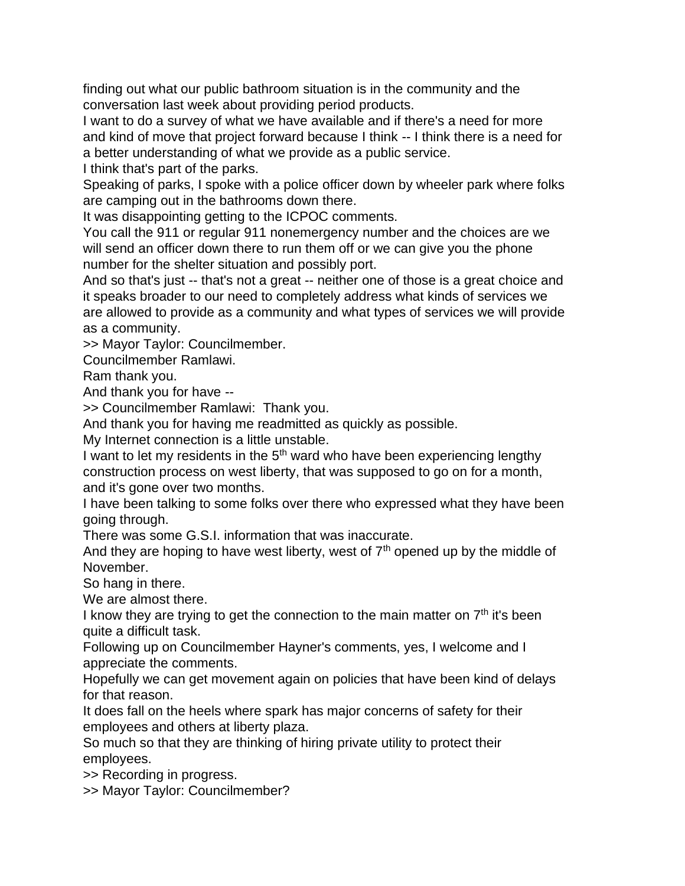finding out what our public bathroom situation is in the community and the conversation last week about providing period products.

I want to do a survey of what we have available and if there's a need for more and kind of move that project forward because I think -- I think there is a need for a better understanding of what we provide as a public service.

I think that's part of the parks.

Speaking of parks, I spoke with a police officer down by wheeler park where folks are camping out in the bathrooms down there.

It was disappointing getting to the ICPOC comments.

You call the 911 or regular 911 nonemergency number and the choices are we will send an officer down there to run them off or we can give you the phone number for the shelter situation and possibly port.

And so that's just -- that's not a great -- neither one of those is a great choice and it speaks broader to our need to completely address what kinds of services we are allowed to provide as a community and what types of services we will provide as a community.

>> Mayor Taylor: Councilmember.

Councilmember Ramlawi.

Ram thank you.

And thank you for have --

>> Councilmember Ramlawi: Thank you.

And thank you for having me readmitted as quickly as possible.

My Internet connection is a little unstable.

I want to let my residents in the  $5<sup>th</sup>$  ward who have been experiencing lengthy construction process on west liberty, that was supposed to go on for a month, and it's gone over two months.

I have been talking to some folks over there who expressed what they have been going through.

There was some G.S.I. information that was inaccurate.

And they are hoping to have west liberty, west of  $7<sup>th</sup>$  opened up by the middle of November.

So hang in there.

We are almost there.

I know they are trying to get the connection to the main matter on  $7<sup>th</sup>$  it's been quite a difficult task.

Following up on Councilmember Hayner's comments, yes, I welcome and I appreciate the comments.

Hopefully we can get movement again on policies that have been kind of delays for that reason.

It does fall on the heels where spark has major concerns of safety for their employees and others at liberty plaza.

So much so that they are thinking of hiring private utility to protect their employees.

>> Recording in progress.

>> Mayor Taylor: Councilmember?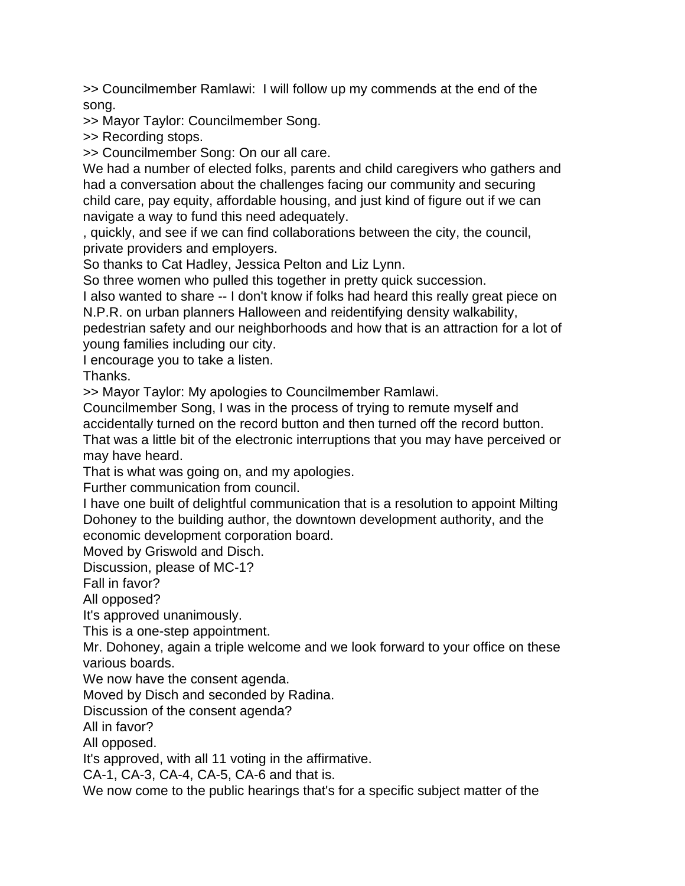>> Councilmember Ramlawi: I will follow up my commends at the end of the song.

>> Mayor Taylor: Councilmember Song.

>> Recording stops.

>> Councilmember Song: On our all care.

We had a number of elected folks, parents and child caregivers who gathers and had a conversation about the challenges facing our community and securing child care, pay equity, affordable housing, and just kind of figure out if we can navigate a way to fund this need adequately.

, quickly, and see if we can find collaborations between the city, the council, private providers and employers.

So thanks to Cat Hadley, Jessica Pelton and Liz Lynn.

So three women who pulled this together in pretty quick succession.

I also wanted to share -- I don't know if folks had heard this really great piece on N.P.R. on urban planners Halloween and reidentifying density walkability,

pedestrian safety and our neighborhoods and how that is an attraction for a lot of young families including our city.

I encourage you to take a listen.

Thanks.

>> Mayor Taylor: My apologies to Councilmember Ramlawi.

Councilmember Song, I was in the process of trying to remute myself and accidentally turned on the record button and then turned off the record button.

That was a little bit of the electronic interruptions that you may have perceived or may have heard.

That is what was going on, and my apologies.

Further communication from council.

I have one built of delightful communication that is a resolution to appoint Milting Dohoney to the building author, the downtown development authority, and the economic development corporation board.

Moved by Griswold and Disch.

Discussion, please of MC-1?

Fall in favor?

All opposed?

It's approved unanimously.

This is a one-step appointment.

Mr. Dohoney, again a triple welcome and we look forward to your office on these various boards.

We now have the consent agenda.

Moved by Disch and seconded by Radina.

Discussion of the consent agenda?

All in favor?

All opposed.

It's approved, with all 11 voting in the affirmative.

CA-1, CA-3, CA-4, CA-5, CA-6 and that is.

We now come to the public hearings that's for a specific subject matter of the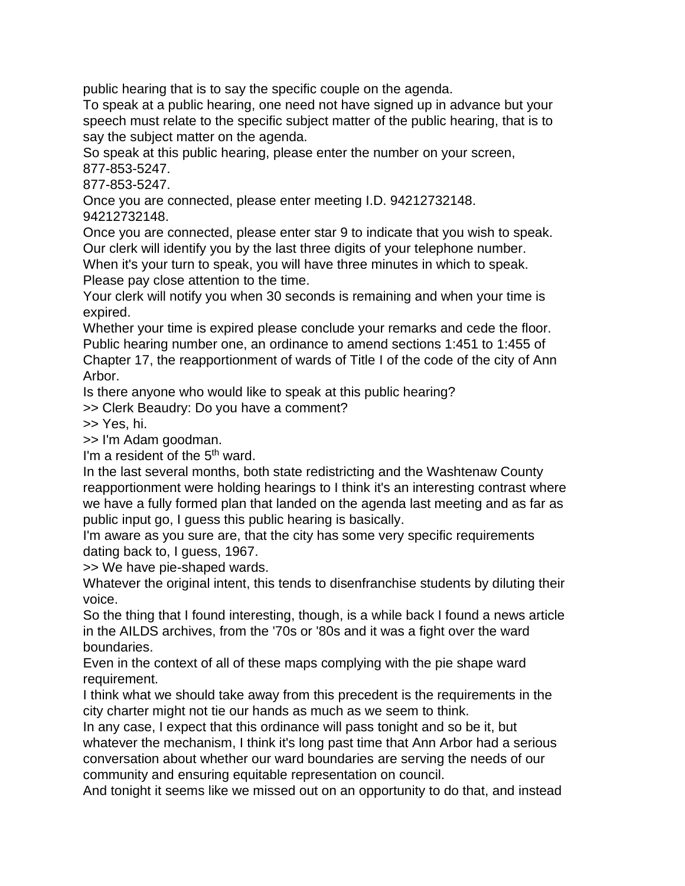public hearing that is to say the specific couple on the agenda.

To speak at a public hearing, one need not have signed up in advance but your speech must relate to the specific subject matter of the public hearing, that is to say the subject matter on the agenda.

So speak at this public hearing, please enter the number on your screen, 877-853-5247.

877-853-5247.

Once you are connected, please enter meeting I.D. 94212732148. 94212732148.

Once you are connected, please enter star 9 to indicate that you wish to speak. Our clerk will identify you by the last three digits of your telephone number.

When it's your turn to speak, you will have three minutes in which to speak. Please pay close attention to the time.

Your clerk will notify you when 30 seconds is remaining and when your time is expired.

Whether your time is expired please conclude your remarks and cede the floor. Public hearing number one, an ordinance to amend sections 1:451 to 1:455 of Chapter 17, the reapportionment of wards of Title I of the code of the city of Ann Arbor.

Is there anyone who would like to speak at this public hearing?

>> Clerk Beaudry: Do you have a comment?

>> Yes, hi.

>> I'm Adam goodman.

I'm a resident of the 5<sup>th</sup> ward.

In the last several months, both state redistricting and the Washtenaw County reapportionment were holding hearings to I think it's an interesting contrast where we have a fully formed plan that landed on the agenda last meeting and as far as public input go, I guess this public hearing is basically.

I'm aware as you sure are, that the city has some very specific requirements dating back to, I guess, 1967.

>> We have pie-shaped wards.

Whatever the original intent, this tends to disenfranchise students by diluting their voice.

So the thing that I found interesting, though, is a while back I found a news article in the AILDS archives, from the '70s or '80s and it was a fight over the ward boundaries.

Even in the context of all of these maps complying with the pie shape ward requirement.

I think what we should take away from this precedent is the requirements in the city charter might not tie our hands as much as we seem to think.

In any case, I expect that this ordinance will pass tonight and so be it, but whatever the mechanism, I think it's long past time that Ann Arbor had a serious conversation about whether our ward boundaries are serving the needs of our community and ensuring equitable representation on council.

And tonight it seems like we missed out on an opportunity to do that, and instead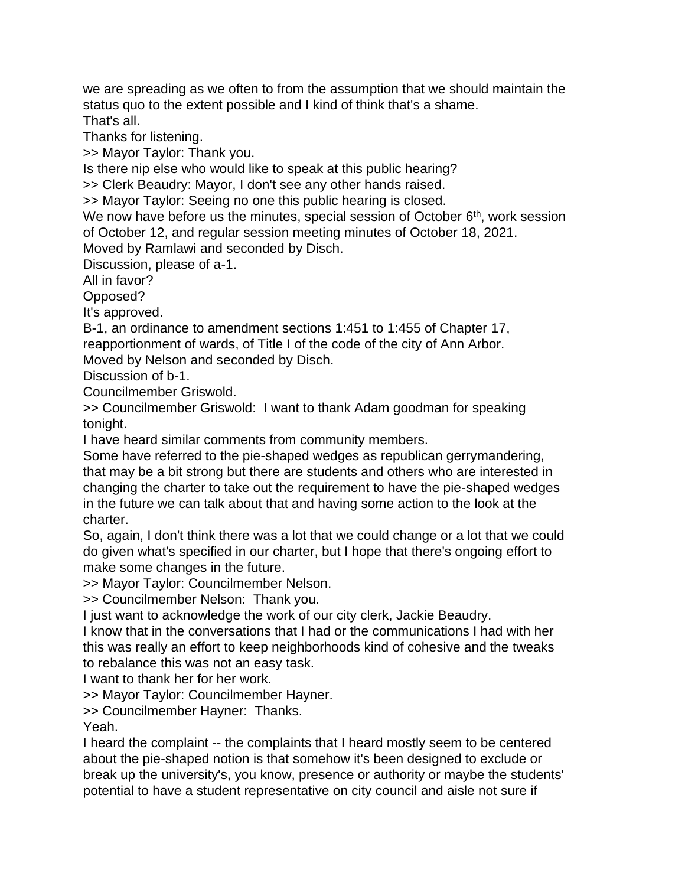we are spreading as we often to from the assumption that we should maintain the status quo to the extent possible and I kind of think that's a shame. That's all.

Thanks for listening.

>> Mayor Taylor: Thank you.

Is there nip else who would like to speak at this public hearing?

>> Clerk Beaudry: Mayor, I don't see any other hands raised.

>> Mayor Taylor: Seeing no one this public hearing is closed.

We now have before us the minutes, special session of October 6<sup>th</sup>, work session of October 12, and regular session meeting minutes of October 18, 2021.

Moved by Ramlawi and seconded by Disch.

Discussion, please of a-1.

All in favor?

Opposed?

It's approved.

B-1, an ordinance to amendment sections 1:451 to 1:455 of Chapter 17, reapportionment of wards, of Title I of the code of the city of Ann Arbor.

Moved by Nelson and seconded by Disch.

Discussion of b-1.

Councilmember Griswold.

>> Councilmember Griswold: I want to thank Adam goodman for speaking tonight.

I have heard similar comments from community members.

Some have referred to the pie-shaped wedges as republican gerrymandering, that may be a bit strong but there are students and others who are interested in changing the charter to take out the requirement to have the pie-shaped wedges in the future we can talk about that and having some action to the look at the charter.

So, again, I don't think there was a lot that we could change or a lot that we could do given what's specified in our charter, but I hope that there's ongoing effort to make some changes in the future.

>> Mayor Taylor: Councilmember Nelson.

>> Councilmember Nelson: Thank you.

I just want to acknowledge the work of our city clerk, Jackie Beaudry.

I know that in the conversations that I had or the communications I had with her this was really an effort to keep neighborhoods kind of cohesive and the tweaks to rebalance this was not an easy task.

I want to thank her for her work.

>> Mayor Taylor: Councilmember Hayner.

>> Councilmember Hayner: Thanks.

Yeah.

I heard the complaint -- the complaints that I heard mostly seem to be centered about the pie-shaped notion is that somehow it's been designed to exclude or break up the university's, you know, presence or authority or maybe the students' potential to have a student representative on city council and aisle not sure if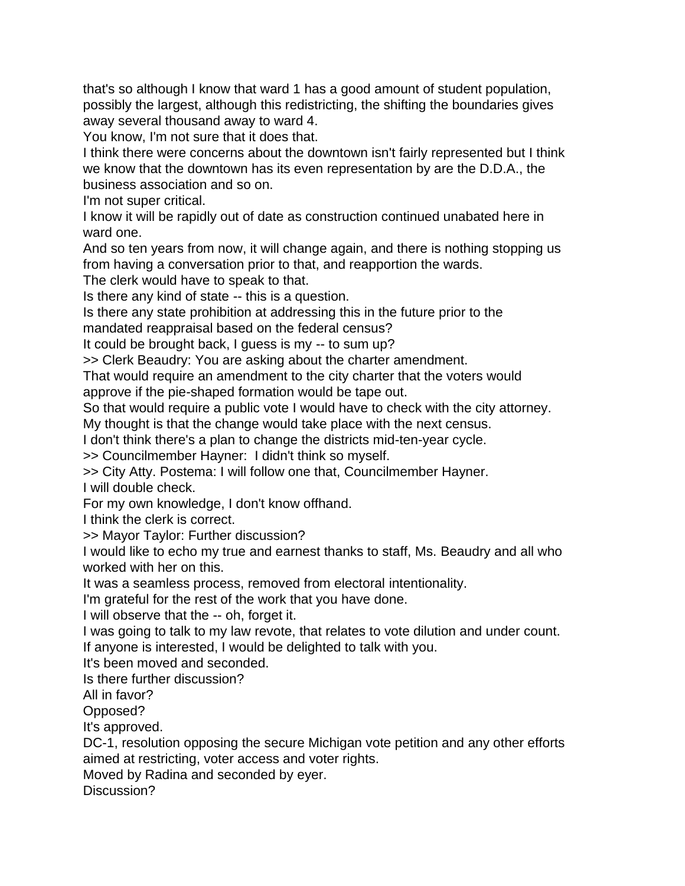that's so although I know that ward 1 has a good amount of student population, possibly the largest, although this redistricting, the shifting the boundaries gives away several thousand away to ward 4.

You know, I'm not sure that it does that.

I think there were concerns about the downtown isn't fairly represented but I think we know that the downtown has its even representation by are the D.D.A., the business association and so on.

I'm not super critical.

I know it will be rapidly out of date as construction continued unabated here in ward one.

And so ten years from now, it will change again, and there is nothing stopping us from having a conversation prior to that, and reapportion the wards.

The clerk would have to speak to that.

Is there any kind of state -- this is a question.

Is there any state prohibition at addressing this in the future prior to the

mandated reappraisal based on the federal census? It could be brought back, I guess is my -- to sum up?

>> Clerk Beaudry: You are asking about the charter amendment.

That would require an amendment to the city charter that the voters would

approve if the pie-shaped formation would be tape out.

So that would require a public vote I would have to check with the city attorney.

My thought is that the change would take place with the next census.

I don't think there's a plan to change the districts mid-ten-year cycle.

>> Councilmember Hayner: I didn't think so myself.

>> City Atty. Postema: I will follow one that, Councilmember Hayner. I will double check.

For my own knowledge, I don't know offhand.

I think the clerk is correct.

>> Mayor Taylor: Further discussion?

I would like to echo my true and earnest thanks to staff, Ms. Beaudry and all who worked with her on this.

It was a seamless process, removed from electoral intentionality.

I'm grateful for the rest of the work that you have done.

I will observe that the -- oh, forget it.

I was going to talk to my law revote, that relates to vote dilution and under count. If anyone is interested, I would be delighted to talk with you.

It's been moved and seconded.

Is there further discussion?

All in favor?

Opposed?

It's approved.

DC-1, resolution opposing the secure Michigan vote petition and any other efforts aimed at restricting, voter access and voter rights.

Moved by Radina and seconded by eyer.

Discussion?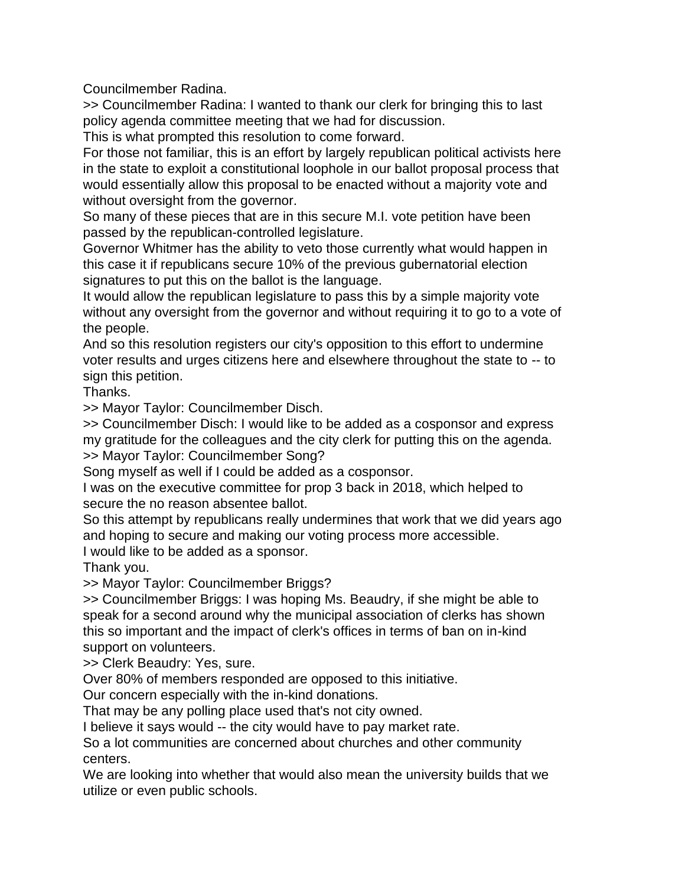Councilmember Radina.

>> Councilmember Radina: I wanted to thank our clerk for bringing this to last policy agenda committee meeting that we had for discussion.

This is what prompted this resolution to come forward.

For those not familiar, this is an effort by largely republican political activists here in the state to exploit a constitutional loophole in our ballot proposal process that would essentially allow this proposal to be enacted without a majority vote and without oversight from the governor.

So many of these pieces that are in this secure M.I. vote petition have been passed by the republican-controlled legislature.

Governor Whitmer has the ability to veto those currently what would happen in this case it if republicans secure 10% of the previous gubernatorial election signatures to put this on the ballot is the language.

It would allow the republican legislature to pass this by a simple majority vote without any oversight from the governor and without requiring it to go to a vote of the people.

And so this resolution registers our city's opposition to this effort to undermine voter results and urges citizens here and elsewhere throughout the state to -- to sign this petition.

Thanks.

>> Mayor Taylor: Councilmember Disch.

>> Councilmember Disch: I would like to be added as a cosponsor and express my gratitude for the colleagues and the city clerk for putting this on the agenda. >> Mayor Taylor: Councilmember Song?

Song myself as well if I could be added as a cosponsor.

I was on the executive committee for prop 3 back in 2018, which helped to secure the no reason absentee ballot.

So this attempt by republicans really undermines that work that we did years ago and hoping to secure and making our voting process more accessible.

I would like to be added as a sponsor.

Thank you.

>> Mayor Taylor: Councilmember Briggs?

>> Councilmember Briggs: I was hoping Ms. Beaudry, if she might be able to speak for a second around why the municipal association of clerks has shown this so important and the impact of clerk's offices in terms of ban on in-kind support on volunteers.

>> Clerk Beaudry: Yes, sure.

Over 80% of members responded are opposed to this initiative.

Our concern especially with the in-kind donations.

That may be any polling place used that's not city owned.

I believe it says would -- the city would have to pay market rate.

So a lot communities are concerned about churches and other community centers.

We are looking into whether that would also mean the university builds that we utilize or even public schools.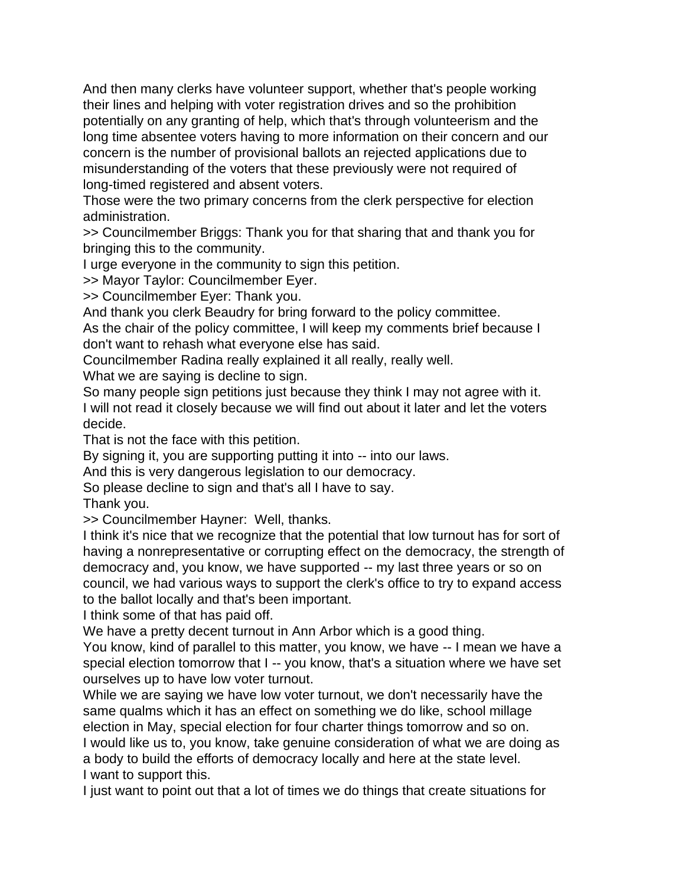And then many clerks have volunteer support, whether that's people working their lines and helping with voter registration drives and so the prohibition potentially on any granting of help, which that's through volunteerism and the long time absentee voters having to more information on their concern and our concern is the number of provisional ballots an rejected applications due to misunderstanding of the voters that these previously were not required of long-timed registered and absent voters.

Those were the two primary concerns from the clerk perspective for election administration.

>> Councilmember Briggs: Thank you for that sharing that and thank you for bringing this to the community.

I urge everyone in the community to sign this petition.

>> Mayor Taylor: Councilmember Eyer.

>> Councilmember Eyer: Thank you.

And thank you clerk Beaudry for bring forward to the policy committee.

As the chair of the policy committee, I will keep my comments brief because I don't want to rehash what everyone else has said.

Councilmember Radina really explained it all really, really well.

What we are saying is decline to sign.

So many people sign petitions just because they think I may not agree with it. I will not read it closely because we will find out about it later and let the voters decide.

That is not the face with this petition.

By signing it, you are supporting putting it into -- into our laws.

And this is very dangerous legislation to our democracy.

So please decline to sign and that's all I have to say.

Thank you.

>> Councilmember Hayner: Well, thanks.

I think it's nice that we recognize that the potential that low turnout has for sort of having a nonrepresentative or corrupting effect on the democracy, the strength of democracy and, you know, we have supported -- my last three years or so on council, we had various ways to support the clerk's office to try to expand access to the ballot locally and that's been important.

I think some of that has paid off.

We have a pretty decent turnout in Ann Arbor which is a good thing.

You know, kind of parallel to this matter, you know, we have -- I mean we have a special election tomorrow that I -- you know, that's a situation where we have set ourselves up to have low voter turnout.

While we are saying we have low voter turnout, we don't necessarily have the same qualms which it has an effect on something we do like, school millage election in May, special election for four charter things tomorrow and so on.

I would like us to, you know, take genuine consideration of what we are doing as a body to build the efforts of democracy locally and here at the state level. I want to support this.

I just want to point out that a lot of times we do things that create situations for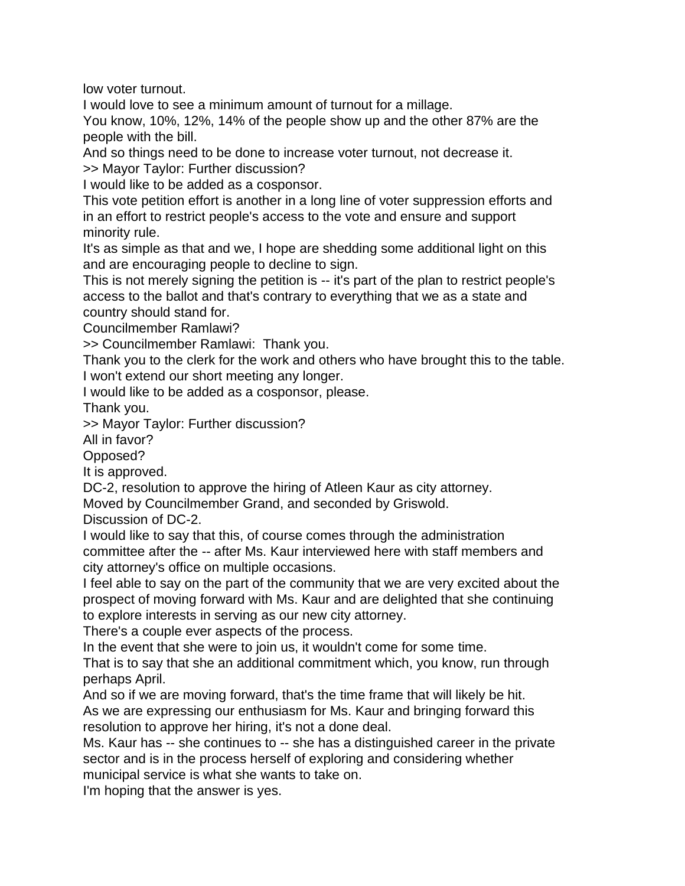low voter turnout.

I would love to see a minimum amount of turnout for a millage.

You know, 10%, 12%, 14% of the people show up and the other 87% are the people with the bill.

And so things need to be done to increase voter turnout, not decrease it.

>> Mayor Taylor: Further discussion?

I would like to be added as a cosponsor.

This vote petition effort is another in a long line of voter suppression efforts and in an effort to restrict people's access to the vote and ensure and support minority rule.

It's as simple as that and we, I hope are shedding some additional light on this and are encouraging people to decline to sign.

This is not merely signing the petition is -- it's part of the plan to restrict people's access to the ballot and that's contrary to everything that we as a state and country should stand for.

Councilmember Ramlawi?

>> Councilmember Ramlawi: Thank you.

Thank you to the clerk for the work and others who have brought this to the table. I won't extend our short meeting any longer.

I would like to be added as a cosponsor, please.

Thank you.

>> Mayor Taylor: Further discussion?

All in favor?

Opposed?

It is approved.

DC-2, resolution to approve the hiring of Atleen Kaur as city attorney.

Moved by Councilmember Grand, and seconded by Griswold.

Discussion of DC-2.

I would like to say that this, of course comes through the administration committee after the -- after Ms. Kaur interviewed here with staff members and city attorney's office on multiple occasions.

I feel able to say on the part of the community that we are very excited about the prospect of moving forward with Ms. Kaur and are delighted that she continuing to explore interests in serving as our new city attorney.

There's a couple ever aspects of the process.

In the event that she were to join us, it wouldn't come for some time.

That is to say that she an additional commitment which, you know, run through perhaps April.

And so if we are moving forward, that's the time frame that will likely be hit. As we are expressing our enthusiasm for Ms. Kaur and bringing forward this resolution to approve her hiring, it's not a done deal.

Ms. Kaur has -- she continues to -- she has a distinguished career in the private sector and is in the process herself of exploring and considering whether municipal service is what she wants to take on.

I'm hoping that the answer is yes.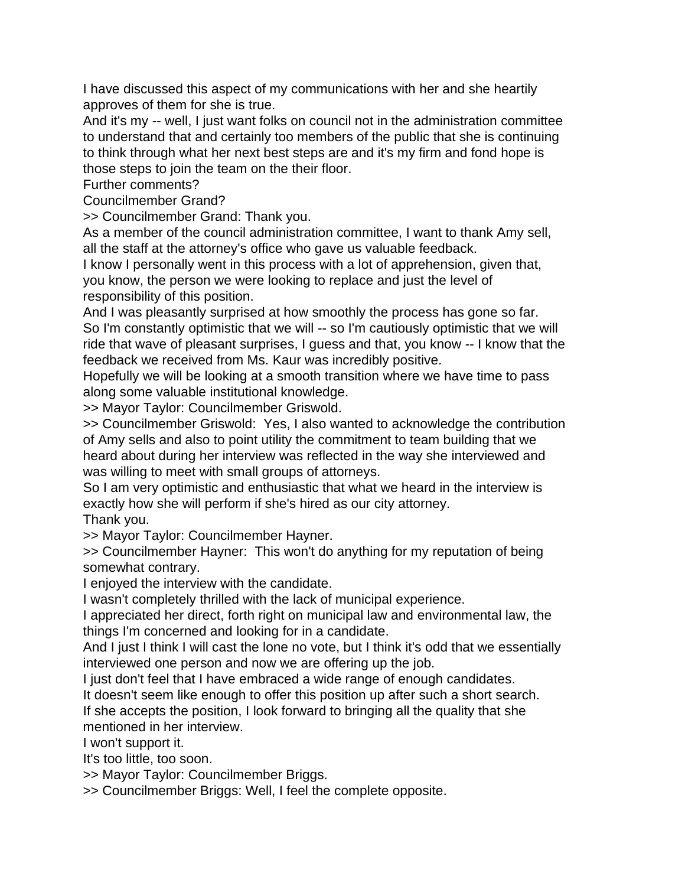I have discussed this aspect of my communications with her and she heartily approves of them for she is true.

And it's my -- well, I just want folks on council not in the administration committee to understand that and certainly too members of the public that she is continuing to think through what her next best steps are and it's my firm and fond hope is those steps to join the team on the their floor.

Further comments?

Councilmember Grand?

>> Councilmember Grand: Thank you.

As a member of the council administration committee, I want to thank Amy sell, all the staff at the attorney's office who gave us valuable feedback.

I know I personally went in this process with a lot of apprehension, given that, you know, the person we were looking to replace and just the level of responsibility of this position.

And I was pleasantly surprised at how smoothly the process has gone so far. So I'm constantly optimistic that we will -- so I'm cautiously optimistic that we will ride that wave of pleasant surprises, I guess and that, you know -- I know that the feedback we received from Ms. Kaur was incredibly positive.

Hopefully we will be looking at a smooth transition where we have time to pass along some valuable institutional knowledge.

>> Mayor Taylor: Councilmember Griswold.

>> Councilmember Griswold: Yes, I also wanted to acknowledge the contribution of Amy sells and also to point utility the commitment to team building that we heard about during her interview was reflected in the way she interviewed and was willing to meet with small groups of attorneys.

So I am very optimistic and enthusiastic that what we heard in the interview is exactly how she will perform if she's hired as our city attorney. Thank you.

>> Mayor Taylor: Councilmember Hayner.

>> Councilmember Hayner: This won't do anything for my reputation of being somewhat contrary.

I enjoyed the interview with the candidate.

I wasn't completely thrilled with the lack of municipal experience.

I appreciated her direct, forth right on municipal law and environmental law, the things I'm concerned and looking for in a candidate.

And I just I think I will cast the lone no vote, but I think it's odd that we essentially interviewed one person and now we are offering up the job.

I just don't feel that I have embraced a wide range of enough candidates.

It doesn't seem like enough to offer this position up after such a short search.

If she accepts the position, I look forward to bringing all the quality that she mentioned in her interview.

I won't support it.

It's too little, too soon.

>> Mayor Taylor: Councilmember Briggs.

>> Councilmember Briggs: Well, I feel the complete opposite.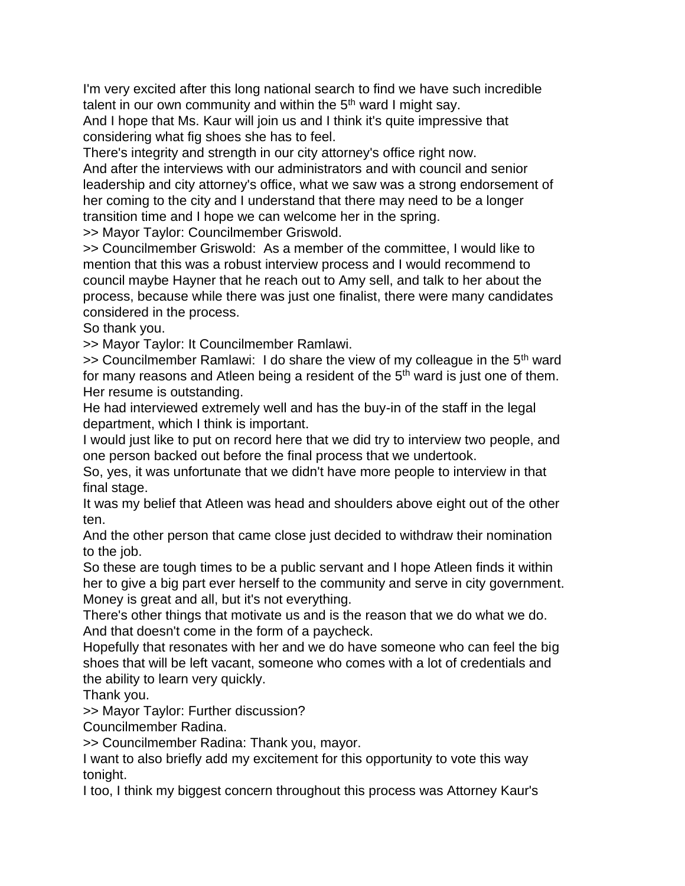I'm very excited after this long national search to find we have such incredible talent in our own community and within the  $5<sup>th</sup>$  ward I might say.

And I hope that Ms. Kaur will join us and I think it's quite impressive that considering what fig shoes she has to feel.

There's integrity and strength in our city attorney's office right now.

And after the interviews with our administrators and with council and senior leadership and city attorney's office, what we saw was a strong endorsement of her coming to the city and I understand that there may need to be a longer transition time and I hope we can welcome her in the spring.

>> Mayor Taylor: Councilmember Griswold.

>> Councilmember Griswold: As a member of the committee, I would like to mention that this was a robust interview process and I would recommend to council maybe Hayner that he reach out to Amy sell, and talk to her about the process, because while there was just one finalist, there were many candidates considered in the process.

So thank you.

>> Mayor Taylor: It Councilmember Ramlawi.

 $\gg$  Councilmember Ramlawi: I do share the view of my colleague in the 5<sup>th</sup> ward for many reasons and Atleen being a resident of the  $5<sup>th</sup>$  ward is just one of them. Her resume is outstanding.

He had interviewed extremely well and has the buy-in of the staff in the legal department, which I think is important.

I would just like to put on record here that we did try to interview two people, and one person backed out before the final process that we undertook.

So, yes, it was unfortunate that we didn't have more people to interview in that final stage.

It was my belief that Atleen was head and shoulders above eight out of the other ten.

And the other person that came close just decided to withdraw their nomination to the job.

So these are tough times to be a public servant and I hope Atleen finds it within her to give a big part ever herself to the community and serve in city government. Money is great and all, but it's not everything.

There's other things that motivate us and is the reason that we do what we do. And that doesn't come in the form of a paycheck.

Hopefully that resonates with her and we do have someone who can feel the big shoes that will be left vacant, someone who comes with a lot of credentials and the ability to learn very quickly.

Thank you.

>> Mayor Taylor: Further discussion?

Councilmember Radina.

>> Councilmember Radina: Thank you, mayor.

I want to also briefly add my excitement for this opportunity to vote this way tonight.

I too, I think my biggest concern throughout this process was Attorney Kaur's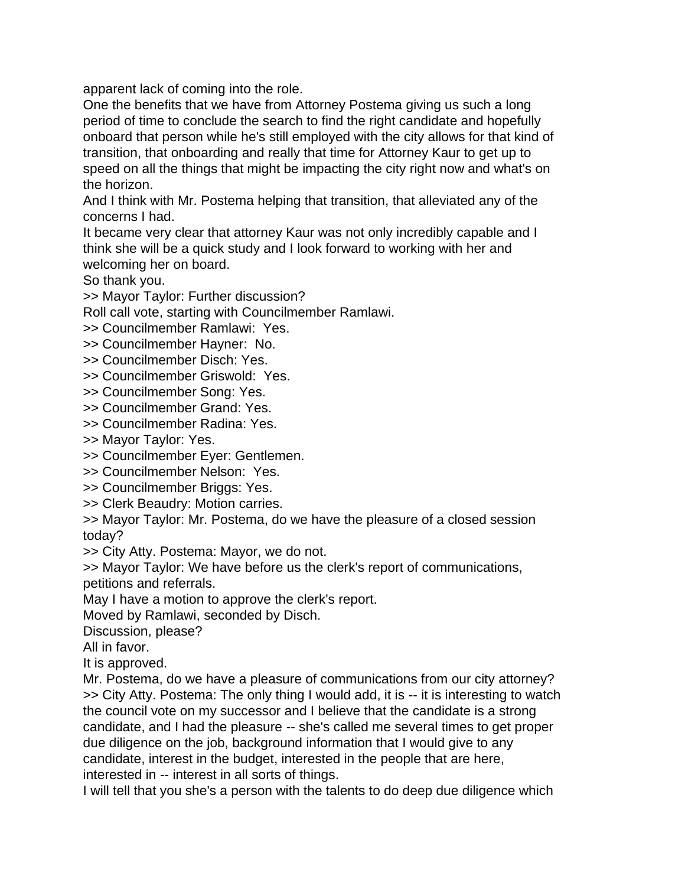apparent lack of coming into the role.

One the benefits that we have from Attorney Postema giving us such a long period of time to conclude the search to find the right candidate and hopefully onboard that person while he's still employed with the city allows for that kind of transition, that onboarding and really that time for Attorney Kaur to get up to speed on all the things that might be impacting the city right now and what's on the horizon.

And I think with Mr. Postema helping that transition, that alleviated any of the concerns I had.

It became very clear that attorney Kaur was not only incredibly capable and I think she will be a quick study and I look forward to working with her and welcoming her on board.

So thank you.

>> Mayor Taylor: Further discussion?

Roll call vote, starting with Councilmember Ramlawi.

>> Councilmember Ramlawi: Yes.

>> Councilmember Hayner: No.

>> Councilmember Disch: Yes.

>> Councilmember Griswold: Yes.

>> Councilmember Song: Yes.

>> Councilmember Grand: Yes.

>> Councilmember Radina: Yes.

>> Mayor Taylor: Yes.

>> Councilmember Eyer: Gentlemen.

>> Councilmember Nelson: Yes.

>> Councilmember Briggs: Yes.

>> Clerk Beaudry: Motion carries.

>> Mayor Taylor: Mr. Postema, do we have the pleasure of a closed session today?

>> City Atty. Postema: Mayor, we do not.

>> Mayor Taylor: We have before us the clerk's report of communications, petitions and referrals.

May I have a motion to approve the clerk's report.

Moved by Ramlawi, seconded by Disch.

Discussion, please?

All in favor.

It is approved.

Mr. Postema, do we have a pleasure of communications from our city attorney? >> City Atty. Postema: The only thing I would add, it is -- it is interesting to watch the council vote on my successor and I believe that the candidate is a strong candidate, and I had the pleasure -- she's called me several times to get proper due diligence on the job, background information that I would give to any candidate, interest in the budget, interested in the people that are here, interested in -- interest in all sorts of things.

I will tell that you she's a person with the talents to do deep due diligence which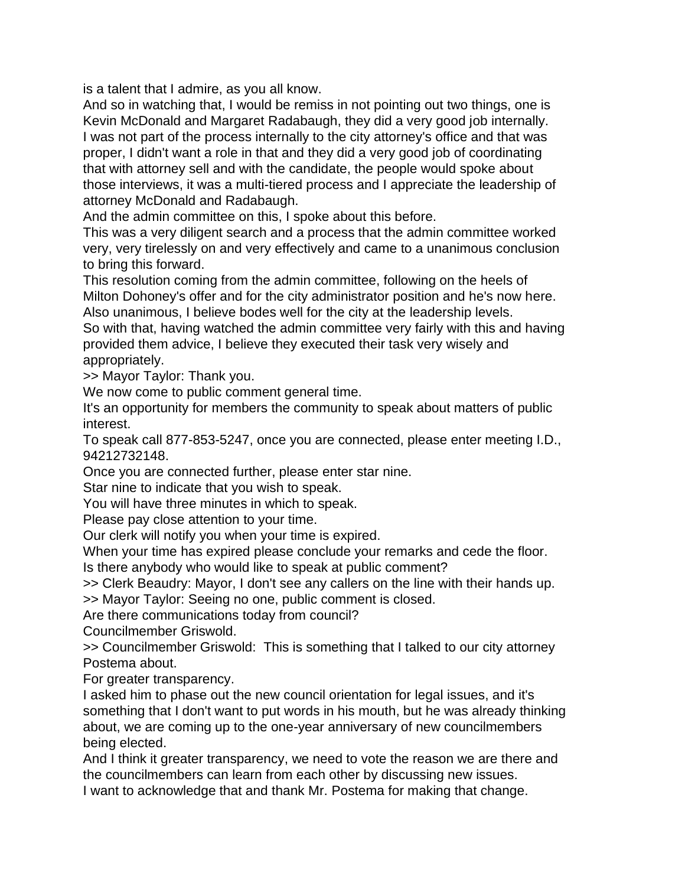is a talent that I admire, as you all know.

And so in watching that, I would be remiss in not pointing out two things, one is Kevin McDonald and Margaret Radabaugh, they did a very good job internally. I was not part of the process internally to the city attorney's office and that was proper, I didn't want a role in that and they did a very good job of coordinating that with attorney sell and with the candidate, the people would spoke about those interviews, it was a multi-tiered process and I appreciate the leadership of attorney McDonald and Radabaugh.

And the admin committee on this, I spoke about this before.

This was a very diligent search and a process that the admin committee worked very, very tirelessly on and very effectively and came to a unanimous conclusion to bring this forward.

This resolution coming from the admin committee, following on the heels of Milton Dohoney's offer and for the city administrator position and he's now here. Also unanimous, I believe bodes well for the city at the leadership levels.

So with that, having watched the admin committee very fairly with this and having provided them advice, I believe they executed their task very wisely and appropriately.

>> Mayor Taylor: Thank you.

We now come to public comment general time.

It's an opportunity for members the community to speak about matters of public interest.

To speak call 877-853-5247, once you are connected, please enter meeting I.D., 94212732148.

Once you are connected further, please enter star nine.

Star nine to indicate that you wish to speak.

You will have three minutes in which to speak.

Please pay close attention to your time.

Our clerk will notify you when your time is expired.

When your time has expired please conclude your remarks and cede the floor.

Is there anybody who would like to speak at public comment?

>> Clerk Beaudry: Mayor, I don't see any callers on the line with their hands up. >> Mayor Taylor: Seeing no one, public comment is closed.

Are there communications today from council?

Councilmember Griswold.

>> Councilmember Griswold: This is something that I talked to our city attorney Postema about.

For greater transparency.

I asked him to phase out the new council orientation for legal issues, and it's something that I don't want to put words in his mouth, but he was already thinking about, we are coming up to the one-year anniversary of new councilmembers being elected.

And I think it greater transparency, we need to vote the reason we are there and the councilmembers can learn from each other by discussing new issues.

I want to acknowledge that and thank Mr. Postema for making that change.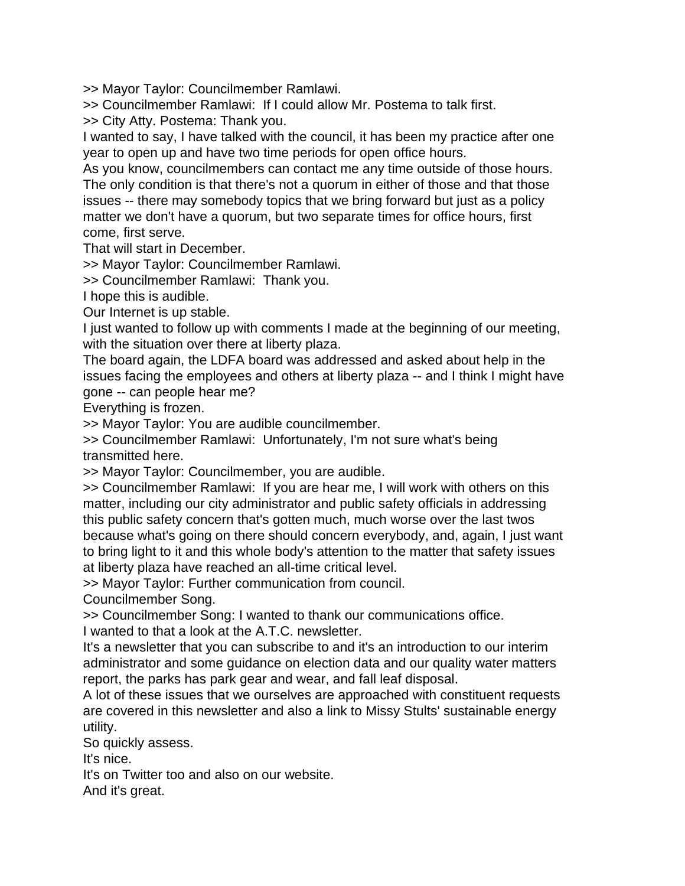>> Mayor Taylor: Councilmember Ramlawi.

>> Councilmember Ramlawi: If I could allow Mr. Postema to talk first.

>> City Atty. Postema: Thank you.

I wanted to say, I have talked with the council, it has been my practice after one year to open up and have two time periods for open office hours.

As you know, councilmembers can contact me any time outside of those hours. The only condition is that there's not a quorum in either of those and that those issues -- there may somebody topics that we bring forward but just as a policy matter we don't have a quorum, but two separate times for office hours, first come, first serve.

That will start in December.

>> Mayor Taylor: Councilmember Ramlawi.

>> Councilmember Ramlawi: Thank you.

I hope this is audible.

Our Internet is up stable.

I just wanted to follow up with comments I made at the beginning of our meeting, with the situation over there at liberty plaza.

The board again, the LDFA board was addressed and asked about help in the issues facing the employees and others at liberty plaza -- and I think I might have gone -- can people hear me?

Everything is frozen.

>> Mayor Taylor: You are audible councilmember.

>> Councilmember Ramlawi: Unfortunately, I'm not sure what's being transmitted here.

>> Mayor Taylor: Councilmember, you are audible.

>> Councilmember Ramlawi: If you are hear me, I will work with others on this matter, including our city administrator and public safety officials in addressing this public safety concern that's gotten much, much worse over the last twos because what's going on there should concern everybody, and, again, I just want to bring light to it and this whole body's attention to the matter that safety issues at liberty plaza have reached an all-time critical level.

>> Mayor Taylor: Further communication from council.

Councilmember Song.

>> Councilmember Song: I wanted to thank our communications office.

I wanted to that a look at the A.T.C. newsletter.

It's a newsletter that you can subscribe to and it's an introduction to our interim administrator and some guidance on election data and our quality water matters report, the parks has park gear and wear, and fall leaf disposal.

A lot of these issues that we ourselves are approached with constituent requests are covered in this newsletter and also a link to Missy Stults' sustainable energy utility.

So quickly assess.

It's nice.

It's on Twitter too and also on our website.

And it's great.